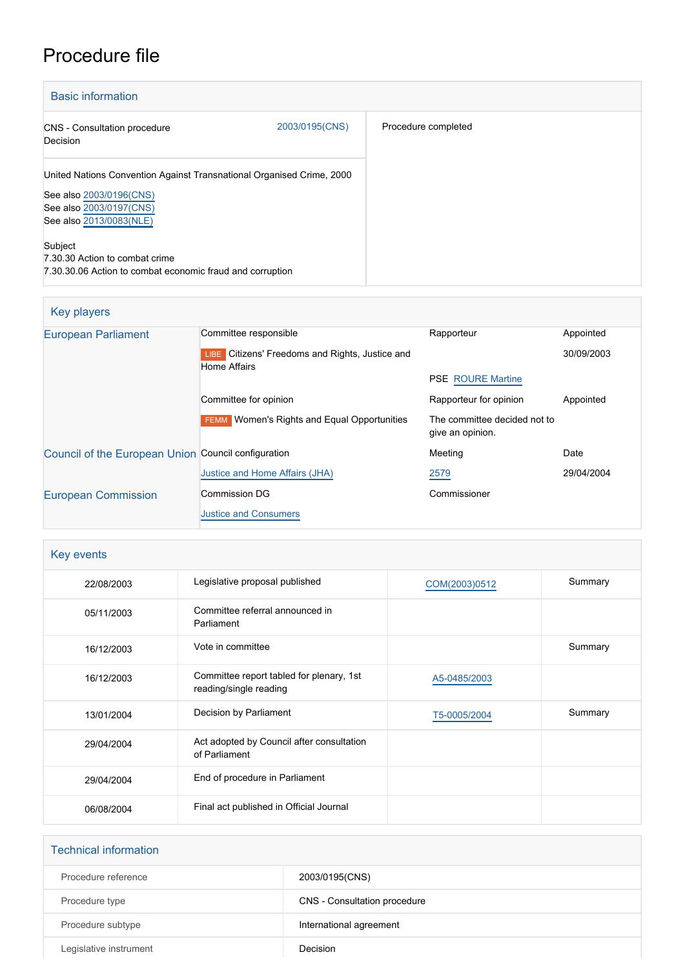# Procedure file

| <b>Basic information</b>                                                                                                                               |                |                     |
|--------------------------------------------------------------------------------------------------------------------------------------------------------|----------------|---------------------|
| CNS - Consultation procedure<br>Decision                                                                                                               | 2003/0195(CNS) | Procedure completed |
| United Nations Convention Against Transnational Organised Crime, 2000<br>See also 2003/0196(CNS)<br>See also 2003/0197(CNS)<br>See also 2013/0083(NLE) |                |                     |
| Subject<br>7.30.30 Action to combat crime<br>7.30.30.06 Action to combat economic fraud and corruption                                                 |                |                     |

# Key players

| <b>European Parliament</b>                          | Committee responsible                                                  | Rapporteur                                       | Appointed  |
|-----------------------------------------------------|------------------------------------------------------------------------|--------------------------------------------------|------------|
|                                                     | LIBE Citizens' Freedoms and Rights, Justice and<br><b>Home Affairs</b> |                                                  | 30/09/2003 |
|                                                     |                                                                        | <b>PSE ROURE Martine</b>                         |            |
|                                                     | Committee for opinion                                                  | Rapporteur for opinion                           | Appointed  |
|                                                     | <b>FEMM</b> Women's Rights and Equal Opportunities                     | The committee decided not to<br>give an opinion. |            |
| Council of the European Union Council configuration |                                                                        | Meeting                                          | Date       |
|                                                     | Justice and Home Affairs (JHA)                                         | 2579                                             | 29/04/2004 |
| <b>European Commission</b>                          | <b>Commission DG</b>                                                   | Commissioner                                     |            |
|                                                     | <b>Justice and Consumers</b>                                           |                                                  |            |

| Key events |                                                                    |               |         |
|------------|--------------------------------------------------------------------|---------------|---------|
| 22/08/2003 | Legislative proposal published                                     | COM(2003)0512 | Summary |
| 05/11/2003 | Committee referral announced in<br>Parliament                      |               |         |
| 16/12/2003 | Vote in committee                                                  |               | Summary |
| 16/12/2003 | Committee report tabled for plenary, 1st<br>reading/single reading | A5-0485/2003  |         |
| 13/01/2004 | Decision by Parliament                                             | T5-0005/2004  | Summary |
| 29/04/2004 | Act adopted by Council after consultation<br>of Parliament         |               |         |
| 29/04/2004 | End of procedure in Parliament                                     |               |         |
| 06/08/2004 | Final act published in Official Journal                            |               |         |

| <b>Technical information</b> |                              |
|------------------------------|------------------------------|
| Procedure reference          | 2003/0195(CNS)               |
| Procedure type               | CNS - Consultation procedure |
| Procedure subtype            | International agreement      |
| Legislative instrument       | Decision                     |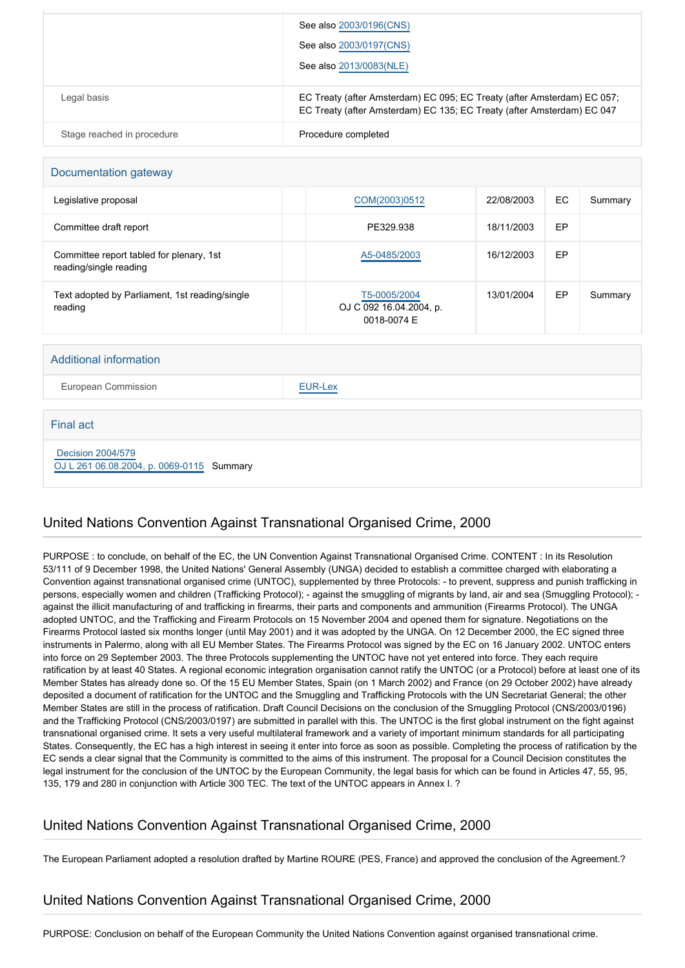|                            | See also 2003/0196(CNS)                                                                                                                           |
|----------------------------|---------------------------------------------------------------------------------------------------------------------------------------------------|
|                            | See also 2003/0197(CNS)                                                                                                                           |
|                            | See also 2013/0083(NLE)                                                                                                                           |
| Legal basis                | EC Treaty (after Amsterdam) EC 095; EC Treaty (after Amsterdam) EC 057;<br>EC Treaty (after Amsterdam) EC 135; EC Treaty (after Amsterdam) EC 047 |
| Stage reached in procedure | Procedure completed                                                                                                                               |

#### Documentation gateway

| Legislative proposal                                               | COM(2003)0512                                          | 22/08/2003 | EC | Summary |
|--------------------------------------------------------------------|--------------------------------------------------------|------------|----|---------|
| Committee draft report                                             | PE329.938                                              | 18/11/2003 | EP |         |
| Committee report tabled for plenary, 1st<br>reading/single reading | A5-0485/2003                                           | 16/12/2003 | EP |         |
| Text adopted by Parliament, 1st reading/single<br>reading          | T5-0005/2004<br>OJ C 092 16.04.2004, p.<br>0018-0074 E | 13/01/2004 | EP | Summary |

#### Additional information

European Commission **[EUR-Lex](http://ec.europa.eu/prelex/liste_resultats.cfm?CL=en&ReqId=0&DocType=CNS&DocYear=2003&DocNum=0195)** 

#### Final act

 [Decision 2004/579](https://eur-lex.europa.eu/smartapi/cgi/sga_doc?smartapi!celexplus!prod!CELEXnumdoc&lg=EN&numdoc=32004D0579) [OJ L 261 06.08.2004, p. 0069-0115](https://eur-lex.europa.eu/legal-content/EN/TXT/?uri=OJ:L:2004:261:TOC) Summary

# United Nations Convention Against Transnational Organised Crime, 2000

PURPOSE : to conclude, on behalf of the EC, the UN Convention Against Transnational Organised Crime. CONTENT : In its Resolution 53/111 of 9 December 1998, the United Nations' General Assembly (UNGA) decided to establish a committee charged with elaborating a Convention against transnational organised crime (UNTOC), supplemented by three Protocols: - to prevent, suppress and punish trafficking in persons, especially women and children (Trafficking Protocol); - against the smuggling of migrants by land, air and sea (Smuggling Protocol); against the illicit manufacturing of and trafficking in firearms, their parts and components and ammunition (Firearms Protocol). The UNGA adopted UNTOC, and the Trafficking and Firearm Protocols on 15 November 2004 and opened them for signature. Negotiations on the Firearms Protocol lasted six months longer (until May 2001) and it was adopted by the UNGA. On 12 December 2000, the EC signed three instruments in Palermo, along with all EU Member States. The Firearms Protocol was signed by the EC on 16 January 2002. UNTOC enters into force on 29 September 2003. The three Protocols supplementing the UNTOC have not yet entered into force. They each require ratification by at least 40 States. A regional economic integration organisation cannot ratify the UNTOC (or a Protocol) before at least one of its Member States has already done so. Of the 15 EU Member States, Spain (on 1 March 2002) and France (on 29 October 2002) have already deposited a document of ratification for the UNTOC and the Smuggling and Trafficking Protocols with the UN Secretariat General; the other Member States are still in the process of ratification. Draft Council Decisions on the conclusion of the Smuggling Protocol (CNS/2003/0196) and the Trafficking Protocol (CNS/2003/0197) are submitted in parallel with this. The UNTOC is the first global instrument on the fight against transnational organised crime. It sets a very useful multilateral framework and a variety of important minimum standards for all participating States. Consequently, the EC has a high interest in seeing it enter into force as soon as possible. Completing the process of ratification by the EC sends a clear signal that the Community is committed to the aims of this instrument. The proposal for a Council Decision constitutes the legal instrument for the conclusion of the UNTOC by the European Community, the legal basis for which can be found in Articles 47, 55, 95, 135, 179 and 280 in conjunction with Article 300 TEC. The text of the UNTOC appears in Annex I. ?

# United Nations Convention Against Transnational Organised Crime, 2000

The European Parliament adopted a resolution drafted by Martine ROURE (PES, France) and approved the conclusion of the Agreement.?

# United Nations Convention Against Transnational Organised Crime, 2000

PURPOSE: Conclusion on behalf of the European Community the United Nations Convention against organised transnational crime.